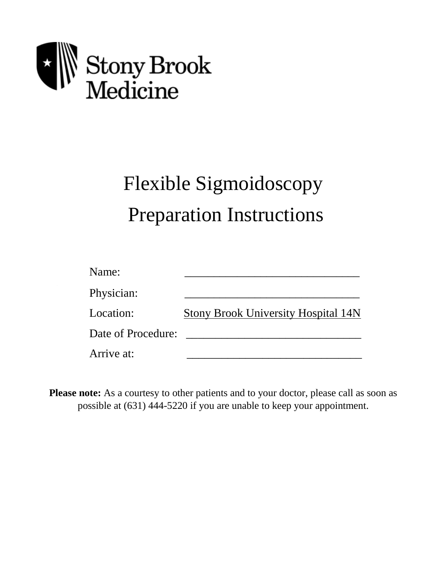

# Flexible Sigmoidoscopy Preparation Instructions

| Name:              |                                            |
|--------------------|--------------------------------------------|
| Physician:         |                                            |
| Location:          | <b>Stony Brook University Hospital 14N</b> |
| Date of Procedure: |                                            |
| Arrive at:         |                                            |

**Please note:** As a courtesy to other patients and to your doctor, please call as soon as possible at (631) 444-5220 if you are unable to keep your appointment.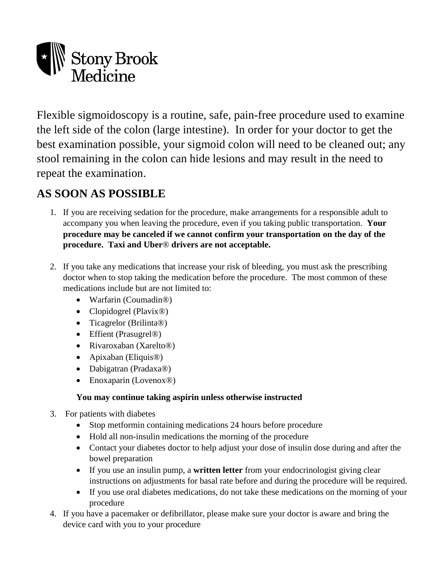

Flexible sigmoidoscopy is a routine, safe, pain-free procedure used to examine the left side of the colon (large intestine). In order for your doctor to get the best examination possible, your sigmoid colon will need to be cleaned out; any stool remaining in the colon can hide lesions and may result in the need to repeat the examination.

# **AS SOON AS POSSIBLE**

- 1. If you are receiving sedation for the procedure, make arrangements for a responsible adult to accompany you when leaving the procedure, even if you taking public transportation. **Your procedure may be canceled if we cannot confirm your transportation on the day of the procedure. Taxi and Uber**® **drivers are not acceptable.**
- 2. If you take any medications that increase your risk of bleeding, you must ask the prescribing doctor when to stop taking the medication before the procedure. The most common of these medications include but are not limited to:
	- Warfarin (Coumadin®)
	- Clopidogrel (Plavix<sup>®</sup>)
	- Ticagrelor (Brilinta®)
	- Effient (Prasugrel®)
	- Rivaroxaban (Xarelto<sup>®)</sup>
	- Apixaban (Eliquis®)
	- Dabigatran (Pradaxa®)
	- Enoxaparin (Lovenox®)

#### **You may continue taking aspirin unless otherwise instructed**

- 3. For patients with diabetes
	- Stop metformin containing medications 24 hours before procedure
	- Hold all non-insulin medications the morning of the procedure
	- Contact your diabetes doctor to help adjust your dose of insulin dose during and after the bowel preparation
	- If you use an insulin pump, a **written letter** from your endocrinologist giving clear instructions on adjustments for basal rate before and during the procedure will be required.
	- If you use oral diabetes medications, do not take these medications on the morning of your procedure
- 4. If you have a pacemaker or defibrillator, please make sure your doctor is aware and bring the device card with you to your procedure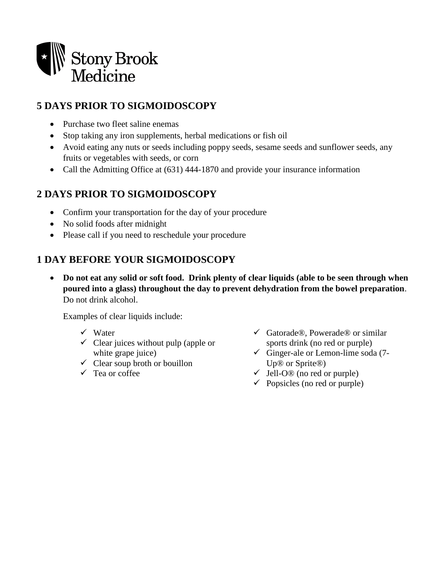

# **5 DAYS PRIOR TO SIGMOIDOSCOPY**

- Purchase two fleet saline enemas
- Stop taking any iron supplements, herbal medications or fish oil
- Avoid eating any nuts or seeds including poppy seeds, sesame seeds and sunflower seeds, any fruits or vegetables with seeds, or corn
- Call the Admitting Office at (631) 444-1870 and provide your insurance information

## **2 DAYS PRIOR TO SIGMOIDOSCOPY**

- Confirm your transportation for the day of your procedure
- No solid foods after midnight
- Please call if you need to reschedule your procedure

## **1 DAY BEFORE YOUR SIGMOIDOSCOPY**

 **Do not eat any solid or soft food. Drink plenty of clear liquids (able to be seen through when poured into a glass) throughout the day to prevent dehydration from the bowel preparation**. Do not drink alcohol.

Examples of clear liquids include:

- $\checkmark$  Water
- $\checkmark$  Clear juices without pulp (apple or white grape juice)
- $\checkmark$  Clear soup broth or bouillon
- $\checkmark$  Tea or coffee
- $\checkmark$  Gatorade®, Powerade® or similar sports drink (no red or purple)
- $\checkmark$  Ginger-ale or Lemon-lime soda (7-Up® or Sprite®)
- $\checkmark$  Jell-O<sup>®</sup> (no red or purple)
- $\checkmark$  Popsicles (no red or purple)